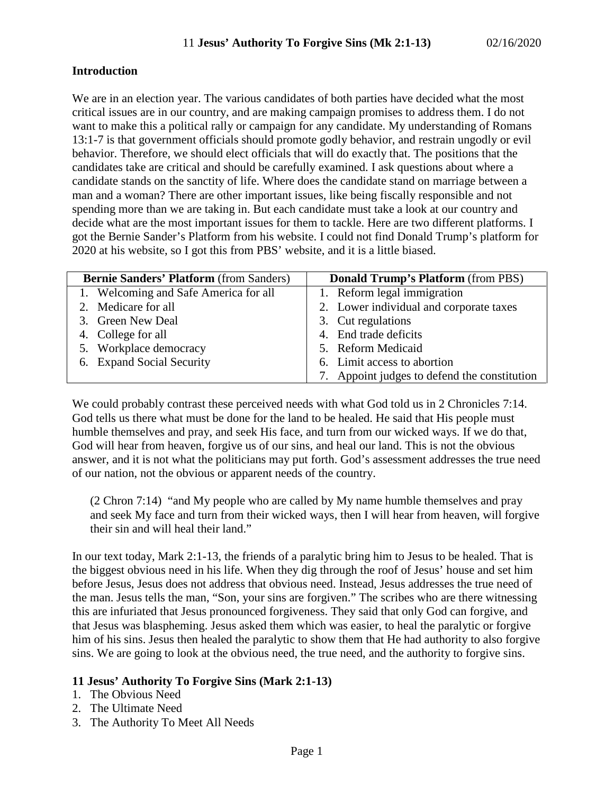### **Introduction**

We are in an election year. The various candidates of both parties have decided what the most critical issues are in our country, and are making campaign promises to address them. I do not want to make this a political rally or campaign for any candidate. My understanding of Romans 13:1-7 is that government officials should promote godly behavior, and restrain ungodly or evil behavior. Therefore, we should elect officials that will do exactly that. The positions that the candidates take are critical and should be carefully examined. I ask questions about where a candidate stands on the sanctity of life. Where does the candidate stand on marriage between a man and a woman? There are other important issues, like being fiscally responsible and not spending more than we are taking in. But each candidate must take a look at our country and decide what are the most important issues for them to tackle. Here are two different platforms. I got the Bernie Sander's Platform from his website. I could not find Donald Trump's platform for 2020 at his website, so I got this from PBS' website, and it is a little biased.

| <b>Bernie Sanders' Platform (from Sanders)</b> | <b>Donald Trump's Platform (from PBS)</b>    |
|------------------------------------------------|----------------------------------------------|
| 1. Welcoming and Safe America for all          | 1. Reform legal immigration                  |
| 2. Medicare for all                            | 2. Lower individual and corporate taxes      |
| 3. Green New Deal                              | 3. Cut regulations                           |
| 4. College for all                             | 4. End trade deficits                        |
| 5. Workplace democracy                         | 5. Reform Medicaid                           |
| 6. Expand Social Security                      | 6. Limit access to abortion                  |
|                                                | 7. Appoint judges to defend the constitution |

We could probably contrast these perceived needs with what God told us in 2 Chronicles 7:14. God tells us there what must be done for the land to be healed. He said that His people must humble themselves and pray, and seek His face, and turn from our wicked ways. If we do that, God will hear from heaven, forgive us of our sins, and heal our land. This is not the obvious answer, and it is not what the politicians may put forth. God's assessment addresses the true need of our nation, not the obvious or apparent needs of the country.

(2 Chron 7:14) "and My people who are called by My name humble themselves and pray and seek My face and turn from their wicked ways, then I will hear from heaven, will forgive their sin and will heal their land."

In our text today, Mark 2:1-13, the friends of a paralytic bring him to Jesus to be healed. That is the biggest obvious need in his life. When they dig through the roof of Jesus' house and set him before Jesus, Jesus does not address that obvious need. Instead, Jesus addresses the true need of the man. Jesus tells the man, "Son, your sins are forgiven." The scribes who are there witnessing this are infuriated that Jesus pronounced forgiveness. They said that only God can forgive, and that Jesus was blaspheming. Jesus asked them which was easier, to heal the paralytic or forgive him of his sins. Jesus then healed the paralytic to show them that He had authority to also forgive sins. We are going to look at the obvious need, the true need, and the authority to forgive sins.

# **11 Jesus' Authority To Forgive Sins (Mark 2:1-13)**

- 1. The Obvious Need
- 2. The Ultimate Need
- 3. The Authority To Meet All Needs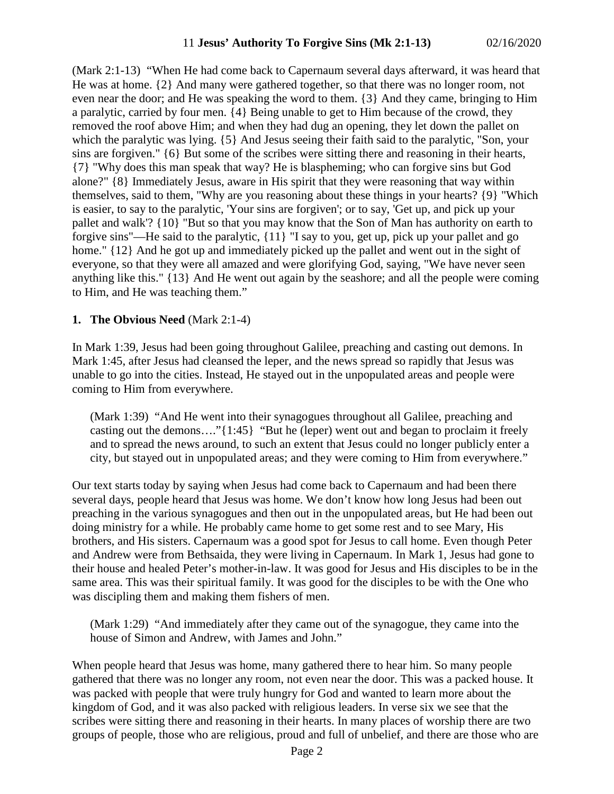(Mark 2:1-13) "When He had come back to Capernaum several days afterward, it was heard that He was at home. {2} And many were gathered together, so that there was no longer room, not even near the door; and He was speaking the word to them. {3} And they came, bringing to Him a paralytic, carried by four men. {4} Being unable to get to Him because of the crowd, they removed the roof above Him; and when they had dug an opening, they let down the pallet on which the paralytic was lying. {5} And Jesus seeing their faith said to the paralytic, "Son, your sins are forgiven." {6} But some of the scribes were sitting there and reasoning in their hearts, {7} "Why does this man speak that way? He is blaspheming; who can forgive sins but God alone?" {8} Immediately Jesus, aware in His spirit that they were reasoning that way within themselves, said to them, "Why are you reasoning about these things in your hearts? {9} "Which is easier, to say to the paralytic, 'Your sins are forgiven'; or to say, 'Get up, and pick up your pallet and walk'? {10} "But so that you may know that the Son of Man has authority on earth to forgive sins"—He said to the paralytic, {11} "I say to you, get up, pick up your pallet and go home."  $\{12\}$  And he got up and immediately picked up the pallet and went out in the sight of everyone, so that they were all amazed and were glorifying God, saying, "We have never seen anything like this." {13} And He went out again by the seashore; and all the people were coming to Him, and He was teaching them."

#### **1. The Obvious Need** (Mark 2:1-4)

In Mark 1:39, Jesus had been going throughout Galilee, preaching and casting out demons. In Mark 1:45, after Jesus had cleansed the leper, and the news spread so rapidly that Jesus was unable to go into the cities. Instead, He stayed out in the unpopulated areas and people were coming to Him from everywhere.

(Mark 1:39) "And He went into their synagogues throughout all Galilee, preaching and casting out the demons…."{1:45} "But he (leper) went out and began to proclaim it freely and to spread the news around, to such an extent that Jesus could no longer publicly enter a city, but stayed out in unpopulated areas; and they were coming to Him from everywhere."

Our text starts today by saying when Jesus had come back to Capernaum and had been there several days, people heard that Jesus was home. We don't know how long Jesus had been out preaching in the various synagogues and then out in the unpopulated areas, but He had been out doing ministry for a while. He probably came home to get some rest and to see Mary, His brothers, and His sisters. Capernaum was a good spot for Jesus to call home. Even though Peter and Andrew were from Bethsaida, they were living in Capernaum. In Mark 1, Jesus had gone to their house and healed Peter's mother-in-law. It was good for Jesus and His disciples to be in the same area. This was their spiritual family. It was good for the disciples to be with the One who was discipling them and making them fishers of men.

(Mark 1:29) "And immediately after they came out of the synagogue, they came into the house of Simon and Andrew, with James and John."

When people heard that Jesus was home, many gathered there to hear him. So many people gathered that there was no longer any room, not even near the door. This was a packed house. It was packed with people that were truly hungry for God and wanted to learn more about the kingdom of God, and it was also packed with religious leaders. In verse six we see that the scribes were sitting there and reasoning in their hearts. In many places of worship there are two groups of people, those who are religious, proud and full of unbelief, and there are those who are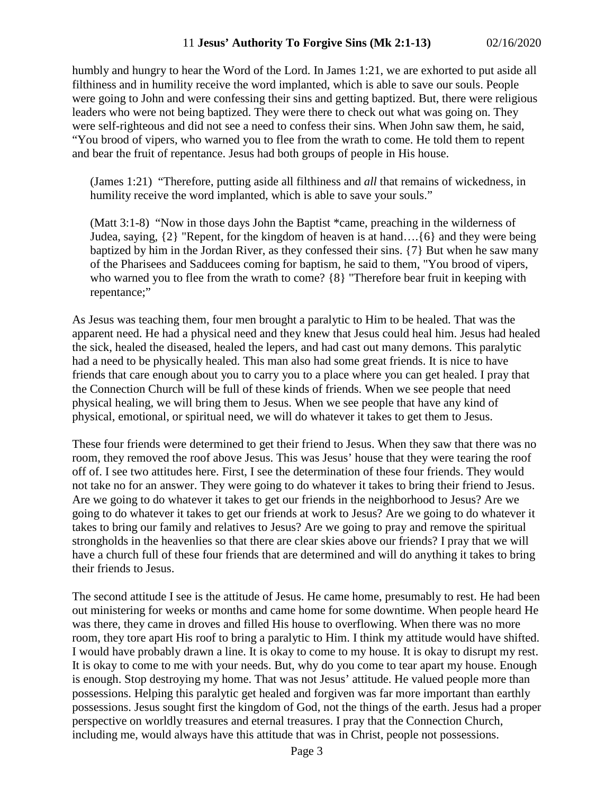humbly and hungry to hear the Word of the Lord. In James 1:21, we are exhorted to put aside all filthiness and in humility receive the word implanted, which is able to save our souls. People were going to John and were confessing their sins and getting baptized. But, there were religious leaders who were not being baptized. They were there to check out what was going on. They were self-righteous and did not see a need to confess their sins. When John saw them, he said, "You brood of vipers, who warned you to flee from the wrath to come. He told them to repent and bear the fruit of repentance. Jesus had both groups of people in His house.

(James 1:21) "Therefore, putting aside all filthiness and *all* that remains of wickedness, in humility receive the word implanted, which is able to save your souls."

(Matt 3:1-8) "Now in those days John the Baptist \*came, preaching in the wilderness of Judea, saying, {2} "Repent, for the kingdom of heaven is at hand….{6} and they were being baptized by him in the Jordan River, as they confessed their sins. {7} But when he saw many of the Pharisees and Sadducees coming for baptism, he said to them, "You brood of vipers, who warned you to flee from the wrath to come?  $\{8\}$  "Therefore bear fruit in keeping with repentance;"

As Jesus was teaching them, four men brought a paralytic to Him to be healed. That was the apparent need. He had a physical need and they knew that Jesus could heal him. Jesus had healed the sick, healed the diseased, healed the lepers, and had cast out many demons. This paralytic had a need to be physically healed. This man also had some great friends. It is nice to have friends that care enough about you to carry you to a place where you can get healed. I pray that the Connection Church will be full of these kinds of friends. When we see people that need physical healing, we will bring them to Jesus. When we see people that have any kind of physical, emotional, or spiritual need, we will do whatever it takes to get them to Jesus.

These four friends were determined to get their friend to Jesus. When they saw that there was no room, they removed the roof above Jesus. This was Jesus' house that they were tearing the roof off of. I see two attitudes here. First, I see the determination of these four friends. They would not take no for an answer. They were going to do whatever it takes to bring their friend to Jesus. Are we going to do whatever it takes to get our friends in the neighborhood to Jesus? Are we going to do whatever it takes to get our friends at work to Jesus? Are we going to do whatever it takes to bring our family and relatives to Jesus? Are we going to pray and remove the spiritual strongholds in the heavenlies so that there are clear skies above our friends? I pray that we will have a church full of these four friends that are determined and will do anything it takes to bring their friends to Jesus.

The second attitude I see is the attitude of Jesus. He came home, presumably to rest. He had been out ministering for weeks or months and came home for some downtime. When people heard He was there, they came in droves and filled His house to overflowing. When there was no more room, they tore apart His roof to bring a paralytic to Him. I think my attitude would have shifted. I would have probably drawn a line. It is okay to come to my house. It is okay to disrupt my rest. It is okay to come to me with your needs. But, why do you come to tear apart my house. Enough is enough. Stop destroying my home. That was not Jesus' attitude. He valued people more than possessions. Helping this paralytic get healed and forgiven was far more important than earthly possessions. Jesus sought first the kingdom of God, not the things of the earth. Jesus had a proper perspective on worldly treasures and eternal treasures. I pray that the Connection Church, including me, would always have this attitude that was in Christ, people not possessions.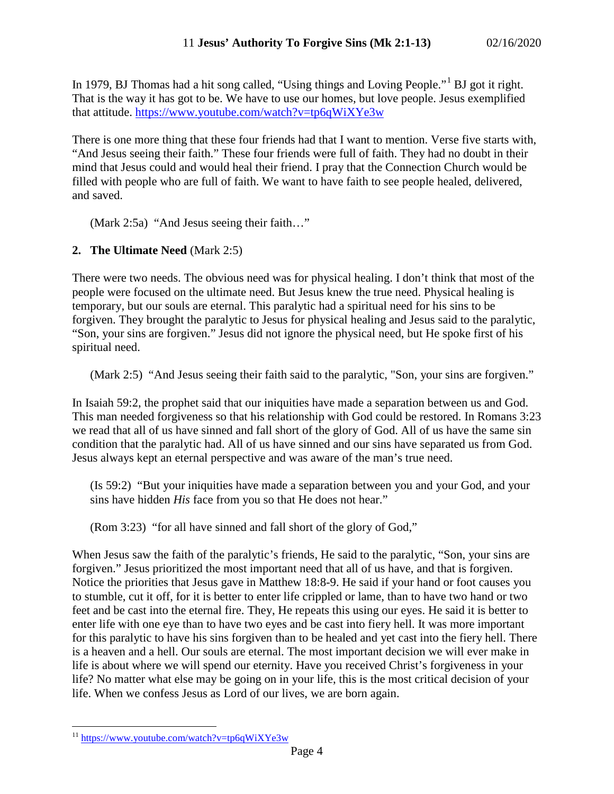In 1979, BJ Thomas had a hit song called, "Using things and Loving People."[1](#page-3-0) BJ got it right. That is the way it has got to be. We have to use our homes, but love people. Jesus exemplified that attitude.<https://www.youtube.com/watch?v=tp6qWiXYe3w>

There is one more thing that these four friends had that I want to mention. Verse five starts with, "And Jesus seeing their faith." These four friends were full of faith. They had no doubt in their mind that Jesus could and would heal their friend. I pray that the Connection Church would be filled with people who are full of faith. We want to have faith to see people healed, delivered, and saved.

(Mark 2:5a) "And Jesus seeing their faith…"

#### **2. The Ultimate Need** (Mark 2:5)

There were two needs. The obvious need was for physical healing. I don't think that most of the people were focused on the ultimate need. But Jesus knew the true need. Physical healing is temporary, but our souls are eternal. This paralytic had a spiritual need for his sins to be forgiven. They brought the paralytic to Jesus for physical healing and Jesus said to the paralytic, "Son, your sins are forgiven." Jesus did not ignore the physical need, but He spoke first of his spiritual need.

(Mark 2:5) "And Jesus seeing their faith said to the paralytic, "Son, your sins are forgiven."

In Isaiah 59:2, the prophet said that our iniquities have made a separation between us and God. This man needed forgiveness so that his relationship with God could be restored. In Romans 3:23 we read that all of us have sinned and fall short of the glory of God. All of us have the same sin condition that the paralytic had. All of us have sinned and our sins have separated us from God. Jesus always kept an eternal perspective and was aware of the man's true need.

(Is 59:2) "But your iniquities have made a separation between you and your God, and your sins have hidden *His* face from you so that He does not hear."

(Rom 3:23) "for all have sinned and fall short of the glory of God,"

When Jesus saw the faith of the paralytic's friends, He said to the paralytic, "Son, your sins are forgiven." Jesus prioritized the most important need that all of us have, and that is forgiven. Notice the priorities that Jesus gave in Matthew 18:8-9. He said if your hand or foot causes you to stumble, cut it off, for it is better to enter life crippled or lame, than to have two hand or two feet and be cast into the eternal fire. They, He repeats this using our eyes. He said it is better to enter life with one eye than to have two eyes and be cast into fiery hell. It was more important for this paralytic to have his sins forgiven than to be healed and yet cast into the fiery hell. There is a heaven and a hell. Our souls are eternal. The most important decision we will ever make in life is about where we will spend our eternity. Have you received Christ's forgiveness in your life? No matter what else may be going on in your life, this is the most critical decision of your life. When we confess Jesus as Lord of our lives, we are born again.

<span id="page-3-0"></span><sup>&</sup>lt;sup>11</sup> <https://www.youtube.com/watch?v=tp6qWiXYe3w>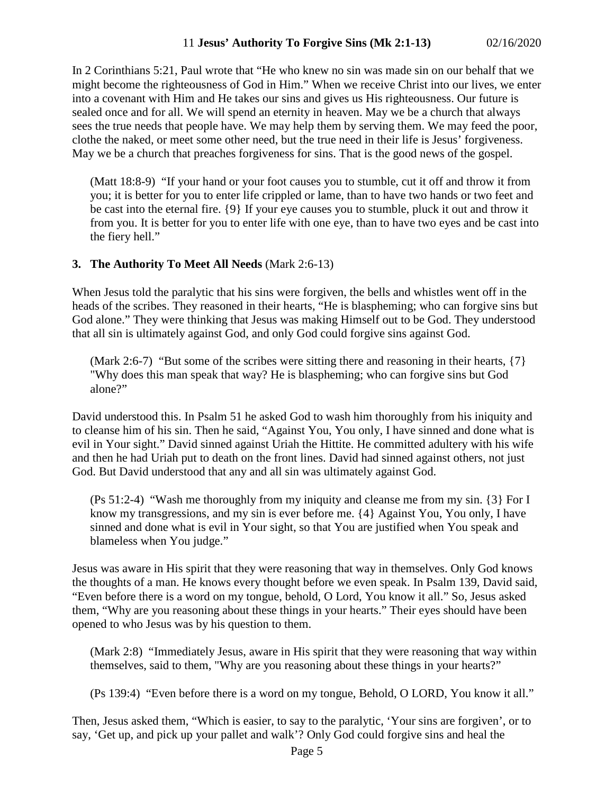In 2 Corinthians 5:21, Paul wrote that "He who knew no sin was made sin on our behalf that we might become the righteousness of God in Him." When we receive Christ into our lives, we enter into a covenant with Him and He takes our sins and gives us His righteousness. Our future is sealed once and for all. We will spend an eternity in heaven. May we be a church that always sees the true needs that people have. We may help them by serving them. We may feed the poor, clothe the naked, or meet some other need, but the true need in their life is Jesus' forgiveness. May we be a church that preaches forgiveness for sins. That is the good news of the gospel.

(Matt 18:8-9) "If your hand or your foot causes you to stumble, cut it off and throw it from you; it is better for you to enter life crippled or lame, than to have two hands or two feet and be cast into the eternal fire. {9} If your eye causes you to stumble, pluck it out and throw it from you. It is better for you to enter life with one eye, than to have two eyes and be cast into the fiery hell."

### **3. The Authority To Meet All Needs** (Mark 2:6-13)

When Jesus told the paralytic that his sins were forgiven, the bells and whistles went off in the heads of the scribes. They reasoned in their hearts, "He is blaspheming; who can forgive sins but God alone." They were thinking that Jesus was making Himself out to be God. They understood that all sin is ultimately against God, and only God could forgive sins against God.

(Mark 2:6-7) "But some of the scribes were sitting there and reasoning in their hearts, {7} "Why does this man speak that way? He is blaspheming; who can forgive sins but God alone?"

David understood this. In Psalm 51 he asked God to wash him thoroughly from his iniquity and to cleanse him of his sin. Then he said, "Against You, You only, I have sinned and done what is evil in Your sight." David sinned against Uriah the Hittite. He committed adultery with his wife and then he had Uriah put to death on the front lines. David had sinned against others, not just God. But David understood that any and all sin was ultimately against God.

(Ps 51:2-4) "Wash me thoroughly from my iniquity and cleanse me from my sin. {3} For I know my transgressions, and my sin is ever before me. {4} Against You, You only, I have sinned and done what is evil in Your sight, so that You are justified when You speak and blameless when You judge."

Jesus was aware in His spirit that they were reasoning that way in themselves. Only God knows the thoughts of a man. He knows every thought before we even speak. In Psalm 139, David said, "Even before there is a word on my tongue, behold, O Lord, You know it all." So, Jesus asked them, "Why are you reasoning about these things in your hearts." Their eyes should have been opened to who Jesus was by his question to them.

(Mark 2:8) "Immediately Jesus, aware in His spirit that they were reasoning that way within themselves, said to them, "Why are you reasoning about these things in your hearts?"

(Ps 139:4) "Even before there is a word on my tongue, Behold, O LORD, You know it all."

Then, Jesus asked them, "Which is easier, to say to the paralytic, 'Your sins are forgiven', or to say, 'Get up, and pick up your pallet and walk'? Only God could forgive sins and heal the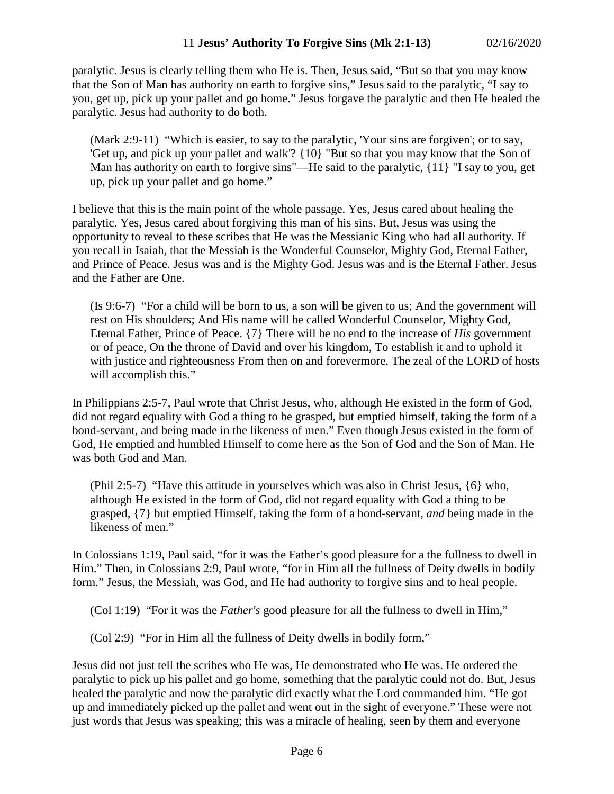paralytic. Jesus is clearly telling them who He is. Then, Jesus said, "But so that you may know that the Son of Man has authority on earth to forgive sins," Jesus said to the paralytic, "I say to you, get up, pick up your pallet and go home." Jesus forgave the paralytic and then He healed the paralytic. Jesus had authority to do both.

(Mark 2:9-11) "Which is easier, to say to the paralytic, 'Your sins are forgiven'; or to say, 'Get up, and pick up your pallet and walk'? {10} "But so that you may know that the Son of Man has authority on earth to forgive sins"—He said to the paralytic, {11} "I say to you, get up, pick up your pallet and go home."

I believe that this is the main point of the whole passage. Yes, Jesus cared about healing the paralytic. Yes, Jesus cared about forgiving this man of his sins. But, Jesus was using the opportunity to reveal to these scribes that He was the Messianic King who had all authority. If you recall in Isaiah, that the Messiah is the Wonderful Counselor, Mighty God, Eternal Father, and Prince of Peace. Jesus was and is the Mighty God. Jesus was and is the Eternal Father. Jesus and the Father are One.

(Is 9:6-7) "For a child will be born to us, a son will be given to us; And the government will rest on His shoulders; And His name will be called Wonderful Counselor, Mighty God, Eternal Father, Prince of Peace. {7} There will be no end to the increase of *His* government or of peace, On the throne of David and over his kingdom, To establish it and to uphold it with justice and righteousness From then on and forevermore. The zeal of the LORD of hosts will accomplish this."

In Philippians 2:5-7, Paul wrote that Christ Jesus, who, although He existed in the form of God, did not regard equality with God a thing to be grasped, but emptied himself, taking the form of a bond-servant, and being made in the likeness of men." Even though Jesus existed in the form of God, He emptied and humbled Himself to come here as the Son of God and the Son of Man. He was both God and Man.

(Phil 2:5-7) "Have this attitude in yourselves which was also in Christ Jesus, {6} who, although He existed in the form of God, did not regard equality with God a thing to be grasped, {7} but emptied Himself, taking the form of a bond-servant, *and* being made in the likeness of men."

In Colossians 1:19, Paul said, "for it was the Father's good pleasure for a the fullness to dwell in Him." Then, in Colossians 2:9, Paul wrote, "for in Him all the fullness of Deity dwells in bodily form." Jesus, the Messiah, was God, and He had authority to forgive sins and to heal people.

(Col 1:19) "For it was the *Father's* good pleasure for all the fullness to dwell in Him,"

(Col 2:9) "For in Him all the fullness of Deity dwells in bodily form,"

Jesus did not just tell the scribes who He was, He demonstrated who He was. He ordered the paralytic to pick up his pallet and go home, something that the paralytic could not do. But, Jesus healed the paralytic and now the paralytic did exactly what the Lord commanded him. "He got up and immediately picked up the pallet and went out in the sight of everyone." These were not just words that Jesus was speaking; this was a miracle of healing, seen by them and everyone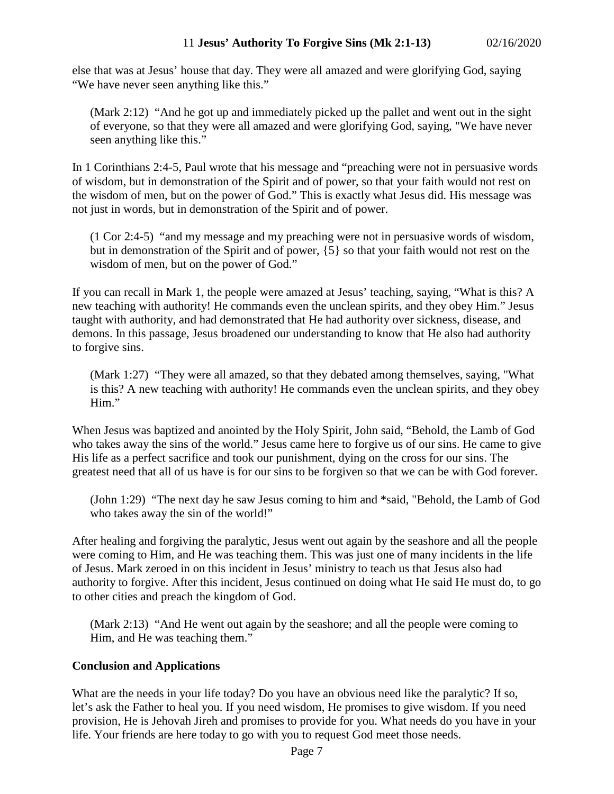else that was at Jesus' house that day. They were all amazed and were glorifying God, saying "We have never seen anything like this."

(Mark 2:12) "And he got up and immediately picked up the pallet and went out in the sight of everyone, so that they were all amazed and were glorifying God, saying, "We have never seen anything like this."

In 1 Corinthians 2:4-5, Paul wrote that his message and "preaching were not in persuasive words of wisdom, but in demonstration of the Spirit and of power, so that your faith would not rest on the wisdom of men, but on the power of God." This is exactly what Jesus did. His message was not just in words, but in demonstration of the Spirit and of power.

(1 Cor 2:4-5) "and my message and my preaching were not in persuasive words of wisdom, but in demonstration of the Spirit and of power, {5} so that your faith would not rest on the wisdom of men, but on the power of God."

If you can recall in Mark 1, the people were amazed at Jesus' teaching, saying, "What is this? A new teaching with authority! He commands even the unclean spirits, and they obey Him." Jesus taught with authority, and had demonstrated that He had authority over sickness, disease, and demons. In this passage, Jesus broadened our understanding to know that He also had authority to forgive sins.

(Mark 1:27) "They were all amazed, so that they debated among themselves, saying, "What is this? A new teaching with authority! He commands even the unclean spirits, and they obey Him."

When Jesus was baptized and anointed by the Holy Spirit, John said, "Behold, the Lamb of God who takes away the sins of the world." Jesus came here to forgive us of our sins. He came to give His life as a perfect sacrifice and took our punishment, dying on the cross for our sins. The greatest need that all of us have is for our sins to be forgiven so that we can be with God forever.

(John 1:29) "The next day he saw Jesus coming to him and \*said, "Behold, the Lamb of God who takes away the sin of the world!"

After healing and forgiving the paralytic, Jesus went out again by the seashore and all the people were coming to Him, and He was teaching them. This was just one of many incidents in the life of Jesus. Mark zeroed in on this incident in Jesus' ministry to teach us that Jesus also had authority to forgive. After this incident, Jesus continued on doing what He said He must do, to go to other cities and preach the kingdom of God.

(Mark 2:13) "And He went out again by the seashore; and all the people were coming to Him, and He was teaching them."

# **Conclusion and Applications**

What are the needs in your life today? Do you have an obvious need like the paralytic? If so, let's ask the Father to heal you. If you need wisdom, He promises to give wisdom. If you need provision, He is Jehovah Jireh and promises to provide for you. What needs do you have in your life. Your friends are here today to go with you to request God meet those needs.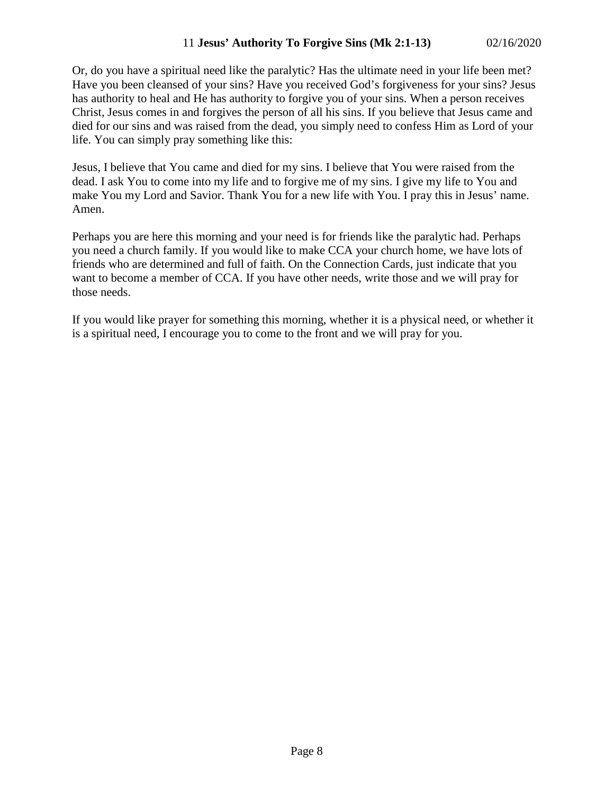Or, do you have a spiritual need like the paralytic? Has the ultimate need in your life been met? Have you been cleansed of your sins? Have you received God's forgiveness for your sins? Jesus has authority to heal and He has authority to forgive you of your sins. When a person receives Christ, Jesus comes in and forgives the person of all his sins. If you believe that Jesus came and died for our sins and was raised from the dead, you simply need to confess Him as Lord of your life. You can simply pray something like this:

Jesus, I believe that You came and died for my sins. I believe that You were raised from the dead. I ask You to come into my life and to forgive me of my sins. I give my life to You and make You my Lord and Savior. Thank You for a new life with You. I pray this in Jesus' name. Amen.

Perhaps you are here this morning and your need is for friends like the paralytic had. Perhaps you need a church family. If you would like to make CCA your church home, we have lots of friends who are determined and full of faith. On the Connection Cards, just indicate that you want to become a member of CCA. If you have other needs, write those and we will pray for those needs.

If you would like prayer for something this morning, whether it is a physical need, or whether it is a spiritual need, I encourage you to come to the front and we will pray for you.